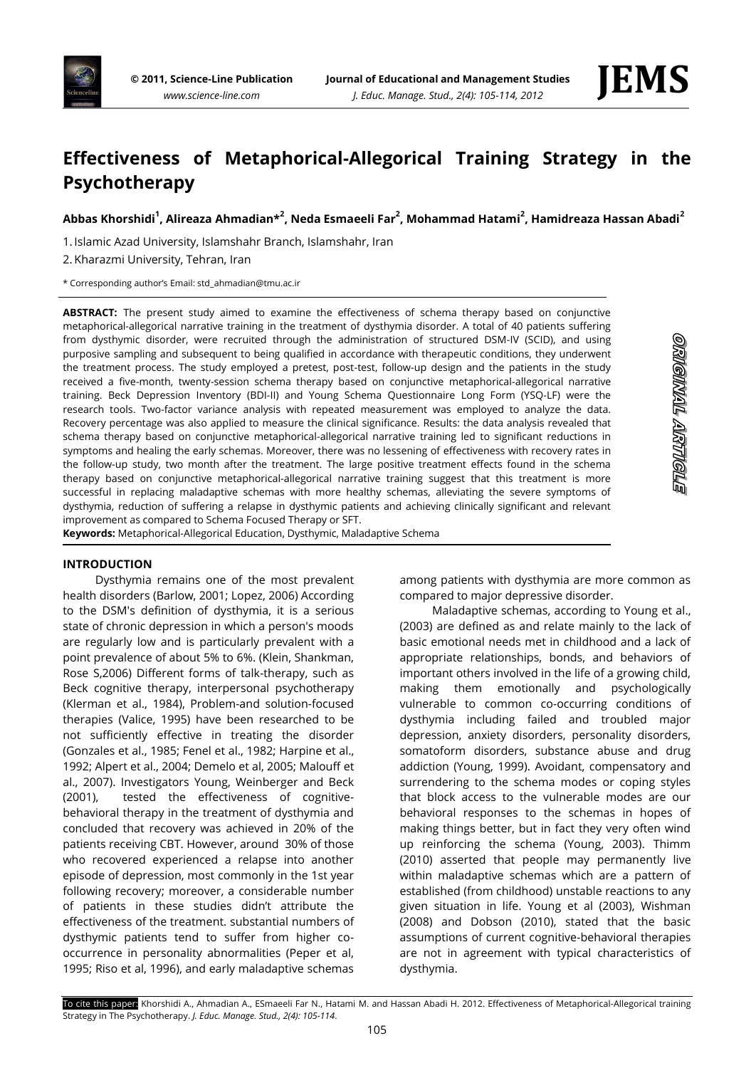

# **Effectiveness of Metaphorical-Allegorical Training Strategy in the Psychotherapy**

**Abbas Khorshidi<sup>1</sup> , Alireaza Ahmadian\*<sup>2</sup> , Neda Esmaeeli Far<sup>2</sup> , Mohammad Hatami<sup>2</sup> , Hamidreaza Hassan Abadi<sup>2</sup>**

1. Islamic Azad University, Islamshahr Branch, Islamshahr, Iran

2. Kharazmi University, Tehran, Iran

\* Corresponding author's Email: std\_ahmadian@tmu.ac.ir

**ABSTRACT:** The present study aimed to examine the effectiveness of schema therapy based on conjunctive metaphorical-allegorical narrative training in the treatment of dysthymia disorder. A total of 40 patients suffering from dysthymic disorder, were recruited through the administration of structured DSM-IV (SCID), and using purposive sampling and subsequent to being qualified in accordance with therapeutic conditions, they underwent the treatment process. The study employed a pretest, post-test, follow-up design and the patients in the study received a five-month, twenty-session schema therapy based on conjunctive metaphorical-allegorical narrative training. Beck Depression Inventory (BDI-II) and Young Schema Questionnaire Long Form (YSQ-LF) were the research tools. Two-factor variance analysis with repeated measurement was employed to analyze the data. Recovery percentage was also applied to measure the clinical significance. Results: the data analysis revealed that schema therapy based on conjunctive metaphorical-allegorical narrative training led to significant reductions in symptoms and healing the early schemas. Moreover, there was no lessening of effectiveness with recovery rates in the follow-up study, two month after the treatment. The large positive treatment effects found in the schema therapy based on conjunctive metaphorical-allegorical narrative training suggest that this treatment is more successful in replacing maladaptive schemas with more healthy schemas, alleviating the severe symptoms of dysthymia, reduction of suffering a relapse in dysthymic patients and achieving clinically significant and relevant improvement as compared to Schema Focused Therapy or SFT.

**Keywords:** Metaphorical-Allegorical Education, Dysthymic, Maladaptive Schema

# ORMONNAL ARTIVOLE

# **INTRODUCTION**

Dysthymia remains one of the most prevalent health disorders (Barlow, 2001; Lopez, 2006) According to the DSM's definition of dysthymia, it is a serious state of chronic depression in which a person's moods are regularly low and is particularly prevalent with a point prevalence of about 5% to 6%. (Klein, Shankman, Rose S,2006) Different forms of talk-therapy, such as Beck cognitive therapy, interpersonal psychotherapy (Klerman et al., 1984), Problem-and solution-focused therapies (Valice, 1995) have been researched to be not sufficiently effective in treating the disorder (Gonzales et al., 1985; Fenel et al., 1982; Harpine et al., 1992; Alpert et al., 2004; Demelo et al, 2005; Malouff et al., 2007). Investigators Young, Weinberger and Beck (2001), tested the effectiveness of cognitivebehavioral therapy in the treatment of dysthymia and concluded that recovery was achieved in 20% of the patients receiving CBT. However, around 30% of those who recovered experienced a relapse into another episode of depression, most commonly in the 1st year following recovery; moreover, a considerable number of patients in these studies didn't attribute the effectiveness of the treatment. substantial numbers of dysthymic patients tend to suffer from higher cooccurrence in personality abnormalities (Peper et al, 1995; Riso et al, 1996), and early maladaptive schemas

among patients with dysthymia are more common as compared to major depressive disorder.

Maladaptive schemas, according to Young et al., (2003) are defined as and relate mainly to the lack of basic emotional needs met in childhood and a lack of appropriate relationships, bonds, and behaviors of important others involved in the life of a growing child, making them emotionally and psychologically vulnerable to common co-occurring conditions of dysthymia including failed and troubled major depression, anxiety disorders, personality disorders, somatoform disorders, substance abuse and drug addiction (Young, 1999). Avoidant, compensatory and surrendering to the schema modes or coping styles that block access to the vulnerable modes are our behavioral responses to the schemas in hopes of making things better, but in fact they very often wind up reinforcing the schema (Young, 2003). Thimm (2010) asserted that people may permanently live within maladaptive schemas which are a pattern of established (from childhood) unstable reactions to any given situation in life. Young et al (2003), Wishman (2008) and Dobson (2010), stated that the basic assumptions of current cognitive-behavioral therapies are not in agreement with typical characteristics of dysthymia.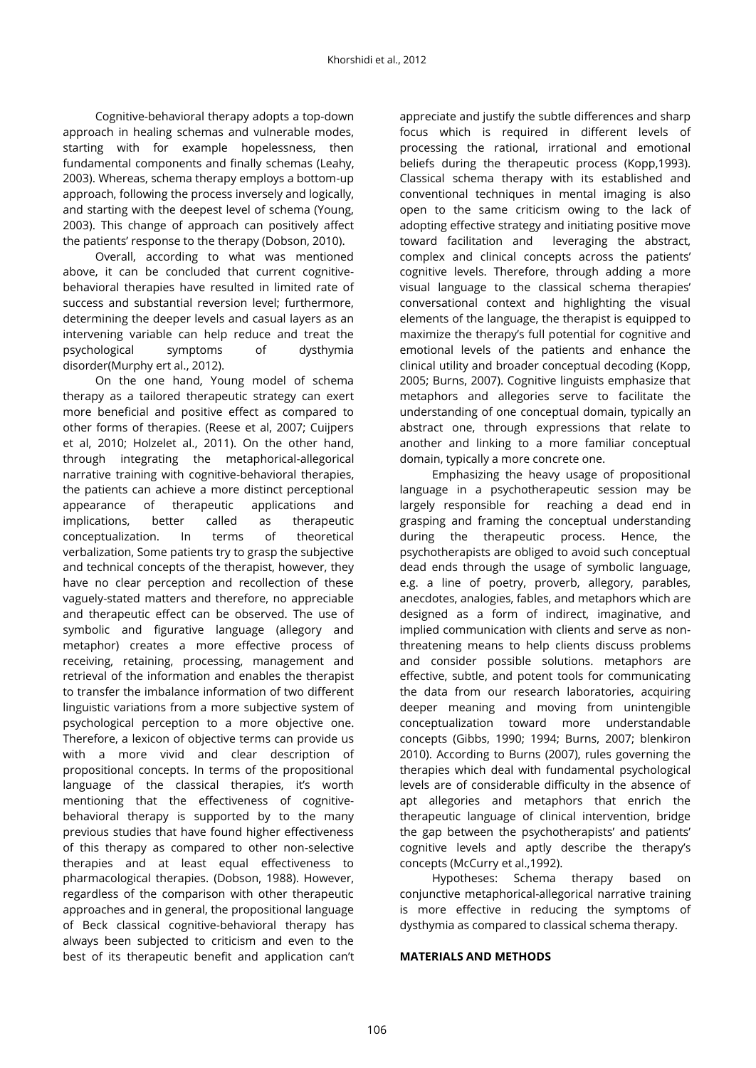Cognitive-behavioral therapy adopts a top-down approach in healing schemas and vulnerable modes, starting with for example hopelessness, then fundamental components and finally schemas (Leahy, 2003). Whereas, schema therapy employs a bottom-up approach, following the process inversely and logically, and starting with the deepest level of schema (Young, 2003). This change of approach can positively affect the patients' response to the therapy (Dobson, 2010).

Overall, according to what was mentioned above, it can be concluded that current cognitivebehavioral therapies have resulted in limited rate of success and substantial reversion level; furthermore, determining the deeper levels and casual layers as an intervening variable can help reduce and treat the psychological symptoms of dysthymia disorder(Murphy ert al., 2012).

On the one hand, Young model of schema therapy as a tailored therapeutic strategy can exert more beneficial and positive effect as compared to other forms of therapies. (Reese et al, 2007; Cuijpers et al, 2010; Holzelet al., 2011). On the other hand, through integrating the metaphorical-allegorical narrative training with cognitive-behavioral therapies, the patients can achieve a more distinct perceptional appearance of therapeutic applications and implications, better called as therapeutic conceptualization. In terms of theoretical verbalization, Some patients try to grasp the subjective and technical concepts of the therapist, however, they have no clear perception and recollection of these vaguely-stated matters and therefore, no appreciable and therapeutic effect can be observed. The use of symbolic and figurative language (allegory and metaphor) creates a more effective process of receiving, retaining, processing, management and retrieval of the information and enables the therapist to transfer the imbalance information of two different linguistic variations from a more subjective system of psychological perception to a more objective one. Therefore, a lexicon of objective terms can provide us with a more vivid and clear description of propositional concepts. In terms of the propositional language of the classical therapies, it's worth mentioning that the effectiveness of cognitivebehavioral therapy is supported by to the many previous studies that have found higher effectiveness of this therapy as compared to other non-selective therapies and at least equal effectiveness to pharmacological therapies. (Dobson, 1988). However, regardless of the comparison with other therapeutic approaches and in general, the propositional language of Beck classical cognitive-behavioral therapy has always been subjected to criticism and even to the best of its therapeutic benefit and application can't

appreciate and justify the subtle differences and sharp focus which is required in different levels of processing the rational, irrational and emotional beliefs during the therapeutic process (Kopp,1993). Classical schema therapy with its established and conventional techniques in mental imaging is also open to the same criticism owing to the lack of adopting effective strategy and initiating positive move toward facilitation and leveraging the abstract, complex and clinical concepts across the patients' cognitive levels. Therefore, through adding a more visual language to the classical schema therapies' conversational context and highlighting the visual elements of the language, the therapist is equipped to maximize the therapy's full potential for cognitive and emotional levels of the patients and enhance the clinical utility and broader conceptual decoding (Kopp, 2005; Burns, 2007). Cognitive linguists emphasize that metaphors and allegories serve to facilitate the understanding of one conceptual domain, typically an abstract one, through expressions that relate to another and linking to a more familiar conceptual domain, typically a more concrete one.

Emphasizing the heavy usage of propositional language in a psychotherapeutic session may be largely responsible for reaching a dead end in grasping and framing the conceptual understanding during the therapeutic process. Hence, the psychotherapists are obliged to avoid such conceptual dead ends through the usage of symbolic language, e.g. a line of poetry, proverb, allegory, parables, anecdotes, analogies, fables, and metaphors which are designed as a form of indirect, imaginative, and implied communication with clients and serve as nonthreatening means to help clients discuss problems and consider possible solutions. metaphors are effective, subtle, and potent tools for communicating the data from our research laboratories, acquiring deeper meaning and moving from unintengible conceptualization toward more understandable concepts (Gibbs, 1990; 1994; Burns, 2007; blenkiron 2010). According to Burns (2007), rules governing the therapies which deal with fundamental psychological levels are of considerable difficulty in the absence of apt allegories and metaphors that enrich the therapeutic language of clinical intervention, bridge the gap between the psychotherapists' and patients' cognitive levels and aptly describe the therapy's concepts (McCurry et al.,1992).

Hypotheses: Schema therapy based on conjunctive metaphorical-allegorical narrative training is more effective in reducing the symptoms of dysthymia as compared to classical schema therapy.

### **MATERIALS AND METHODS**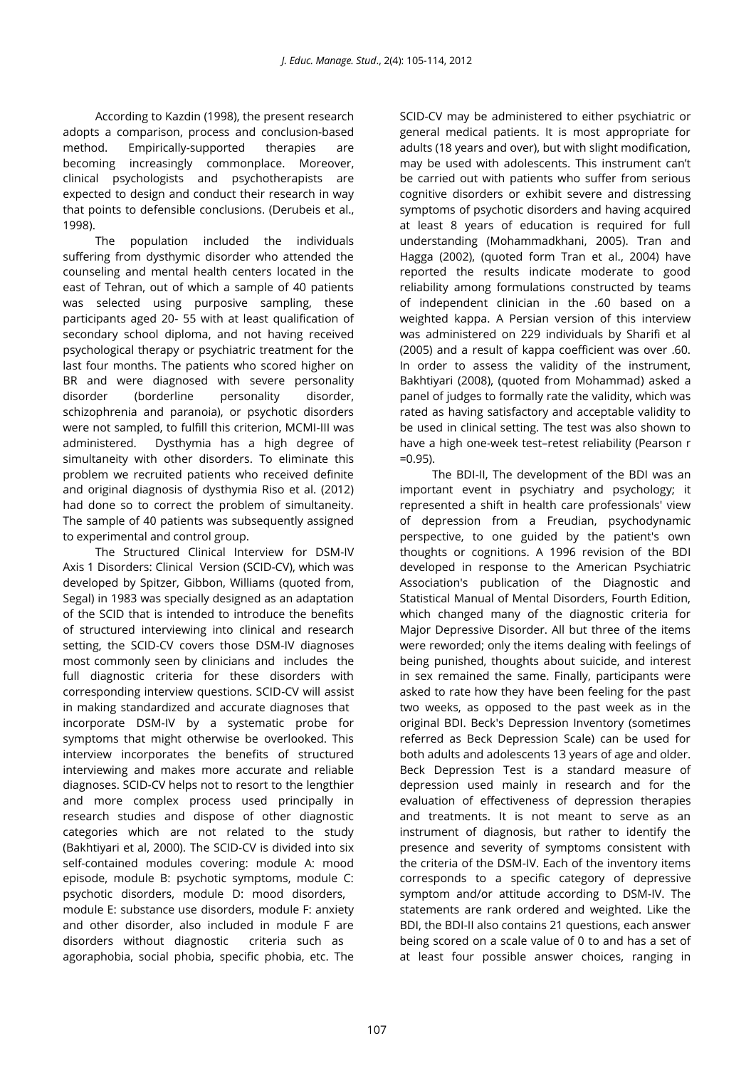According to Kazdin (1998), the present research adopts a comparison, process and conclusion-based method. Empirically-supported therapies are becoming increasingly commonplace. Moreover, clinical psychologists and psychotherapists are expected to design and conduct their research in way that points to defensible conclusions. (Derubeis et al., 1998).

The population included the individuals suffering from dysthymic disorder who attended the counseling and mental health centers located in the east of Tehran, out of which a sample of 40 patients was selected using purposive sampling, these participants aged 20- 55 with at least qualification of secondary school diploma, and not having received psychological therapy or psychiatric treatment for the last four months. The patients who scored higher on BR and were diagnosed with severe personality disorder (borderline personality disorder, schizophrenia and paranoia), or psychotic disorders were not sampled, to fulfill this criterion, MCMI-III was administered. Dysthymia has a high degree of simultaneity with other disorders. To eliminate this problem we recruited patients who received definite and original diagnosis of dysthymia Riso et al. (2012) had done so to correct the problem of simultaneity. The sample of 40 patients was subsequently assigned to experimental and control group.

The Structured Clinical Interview for DSM-IV Axis 1 Disorders: Clinical Version (SCID-CV), which was developed by Spitzer, Gibbon, Williams (quoted from, Segal) in 1983 was specially designed as an adaptation of the SCID that is intended to introduce the benefits of structured interviewing into clinical and research setting, the SCID-CV covers those DSM-IV diagnoses most commonly seen by clinicians and includes the full diagnostic criteria for these disorders with corresponding interview questions. SCID-CV will assist in making standardized and accurate diagnoses that incorporate DSM-IV by a systematic probe for symptoms that might otherwise be overlooked. This interview incorporates the benefits of structured interviewing and makes more accurate and reliable diagnoses. SCID-CV helps not to resort to the lengthier and more complex process used principally in research studies and dispose of other diagnostic categories which are not related to the study (Bakhtiyari et al, 2000). The SCID-CV is divided into six self-contained modules covering: module A: mood episode, module B: psychotic symptoms, module C: psychotic disorders, module D: mood disorders, module E: substance use disorders, module F: anxiety and other disorder, also included in module F are disorders without diagnostic criteria such as agoraphobia, social phobia, specific phobia, etc. The

SCID-CV may be administered to either psychiatric or general medical patients. It is most appropriate for adults (18 years and over), but with slight modification, may be used with adolescents. This instrument can't be carried out with patients who suffer from serious cognitive disorders or exhibit severe and distressing symptoms of psychotic disorders and having acquired at least 8 years of education is required for full understanding (Mohammadkhani, 2005). Tran and Hagga (2002), (quoted form Tran et al., 2004) have reported the results indicate moderate to good reliability among formulations constructed by teams of independent clinician in the .60 based on a weighted kappa. A Persian version of this interview was administered on 229 individuals by Sharifi et al (2005) and a result of kappa coefficient was over .60. In order to assess the validity of the instrument, Bakhtiyari (2008), (quoted from Mohammad) asked a panel of judges to formally rate the validity, which was rated as having satisfactory and acceptable validity to be used in clinical setting. The test was also shown to have a high one-week test–retest reliability (Pearson r =0.95).

The BDI-II, The development of the BDI was an important event in [psychiatry](http://en.wikipedia.org/wiki/Psychiatry) and [psychology;](http://en.wikipedia.org/wiki/Psychology) it represented a shift in health care professionals' view of depression from a [Freudian,](http://en.wikipedia.org/wiki/Freudian) psychodynamic perspective, to one guided by the patient's own thoughts or cognitions. A 1996 revision of the BDI developed in response to the American Psychiatric Association's publication of the Diagnostic and Statistical Manual of Mental Disorders, Fourth Edition, which changed many of the diagnostic criteria for Major Depressive Disorder. All but three of the items were reworded; only the items dealing with feelings of being punished, thoughts about suicide, and interest in sex remained the same. Finally, participants were asked to rate how they have been feeling for the past two weeks, as opposed to the past week as in the original BDI. Beck's Depression Inventory (sometimes referred as Beck Depression Scale) can be used for both adults and adolescents 13 years of age and older. Beck Depression Test is a standard measure of depression used mainly in research and for the evaluation of effectiveness of depression therapies and treatments. It is not meant to serve as an instrument of diagnosis, but rather to identify the presence and severity of symptoms consistent with the criteria of the DSM-IV. Each of the inventory items corresponds to a specific category of depressive symptom and/or attitude according to DSM-IV. The statements are rank ordered and weighted. Like the BDI, the BDI-II also contains 21 questions, each answer being scored on a scale value of 0 to and has a set of at least four possible answer choices, ranging in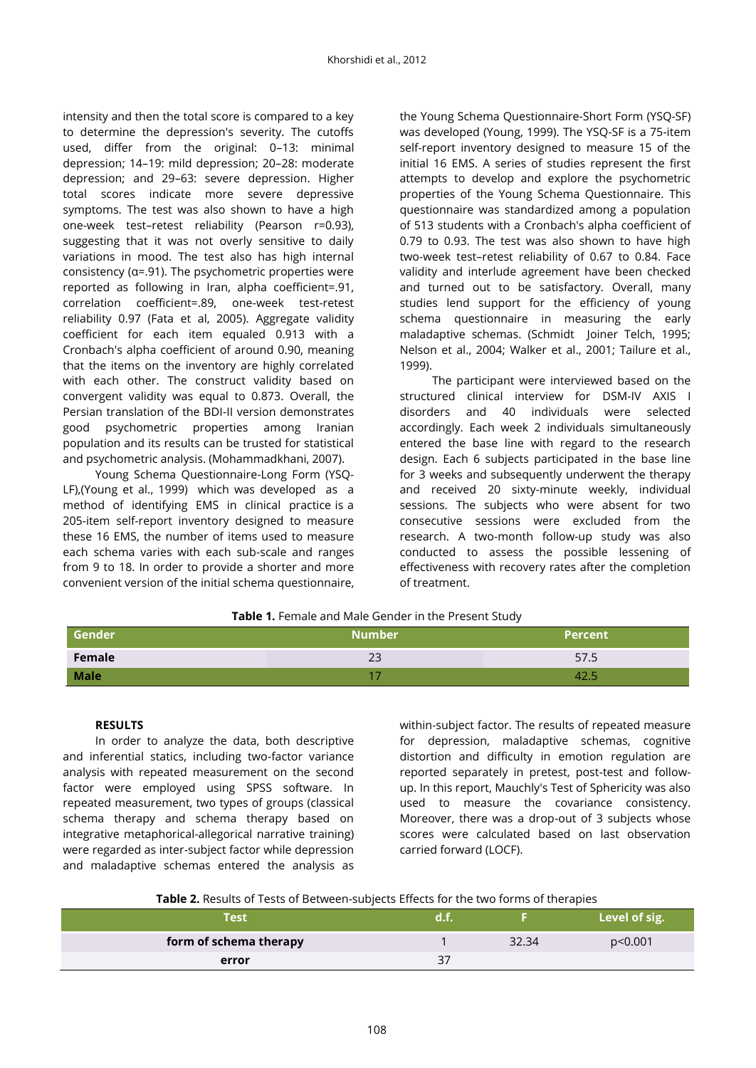intensity and then the total score is compared to a key to determine the depression's severity. The cutoffs used, differ from the original: 0–13: minimal depression; 14–19: mild depression; 20–28: moderate depression; and 29–63: severe depression. Higher total scores indicate more severe depressive symptoms. The test was also shown to have a high one-week test–retest reliability (Pearson r=0.93), suggesting that it was not overly sensitive to daily variations in mood. The test also has high internal consistency (α=.91). The psychometric properties were reported as following in Iran, alpha coefficient=.91, correlation coefficient=.89, one-week test-retest reliability 0.97 (Fata et al, 2005). Aggregate validity coefficient for each item equaled 0.913 with a [Cronbach's alpha](http://en.wikipedia.org/wiki/Cronbach%27s_alpha) coefficient of around 0.90, meaning that the items on the inventory are highly correlated with each other. The construct validity based on convergent validity was equal to 0.873. Overall, the Persian translation of the BDI-II version demonstrates good psychometric properties among Iranian population and its results can be trusted for statistical and psychometric analysis. (Mohammadkhani, 2007).

Young Schema Questionnaire-Long Form (YSQ-LF),(Young et al., 1999) which was developed as a method of identifying EMS in clinical practice is a 205-item self-report inventory designed to measure these 16 EMS, the number of items used to measure each schema varies with each sub-scale and ranges from 9 to 18. In order to provide a shorter and more convenient version of the initial schema questionnaire,

the Young Schema Questionnaire-Short Form (YSQ-SF) was developed (Young, 1999). The YSQ-SF is a 75-item self-report inventory designed to measure 15 of the initial 16 EMS. A series of studies represent the first attempts to develop and explore the psychometric properties of the Young Schema Questionnaire. This questionnaire was standardized among a population of 513 students with a [Cronbach's alpha](http://en.wikipedia.org/wiki/Cronbach%27s_alpha) coefficient of 0.79 to 0.93. The test was also shown to have high two-week test–retest reliability of 0.67 to 0.84. Face validity and interlude agreement have been checked and turned out to be satisfactory. Overall, many studies lend support for the efficiency of young schema questionnaire in measuring the early maladaptive schemas. (Schmidt Joiner Telch, 1995; Nelson et al., 2004; Walker et al., 2001; Tailure et al., 1999).

The participant were interviewed based on the structured clinical interview for DSM-IV AXIS I disorders and 40 individuals were selected accordingly. Each week 2 individuals simultaneously entered the base line with regard to the research design. Each 6 subjects participated in the base line for 3 weeks and subsequently underwent the therapy and received 20 sixty-minute weekly, individual sessions. The subjects who were absent for two consecutive sessions were excluded from the research. A two-month follow-up study was also conducted to assess the possible lessening of effectiveness with recovery rates after the completion of treatment.

| Table 1. Female and Male Gender in the Present Study |  |  |  |  |
|------------------------------------------------------|--|--|--|--|
|------------------------------------------------------|--|--|--|--|

| Gender      | <b>Number</b> | <b>Percent</b> |
|-------------|---------------|----------------|
| Female      | $\cap$<br>ت   | 57.5           |
| <b>Male</b> |               |                |

# **RESULTS**

In order to analyze the data, both descriptive and inferential statics, including two-factor variance analysis with repeated measurement on the second factor were employed using SPSS software. In repeated measurement, two types of groups (classical schema therapy and schema therapy based on integrative metaphorical-allegorical narrative training) were regarded as inter-subject factor while depression and maladaptive schemas entered the analysis as

within-subject factor. The results of repeated measure for depression, maladaptive schemas, cognitive distortion and difficulty in emotion regulation are reported separately in pretest, post-test and followup. In this report, Mauchly's Test of Sphericity was also used to measure the covariance consistency. Moreover, there was a drop-out of 3 subjects whose scores were calculated based on last observation carried forward (LOCF).

| Test                   | 'OM N |       | Level of sig. |
|------------------------|-------|-------|---------------|
| form of schema therapy |       | 32.34 | p<0.001       |
| error                  |       |       |               |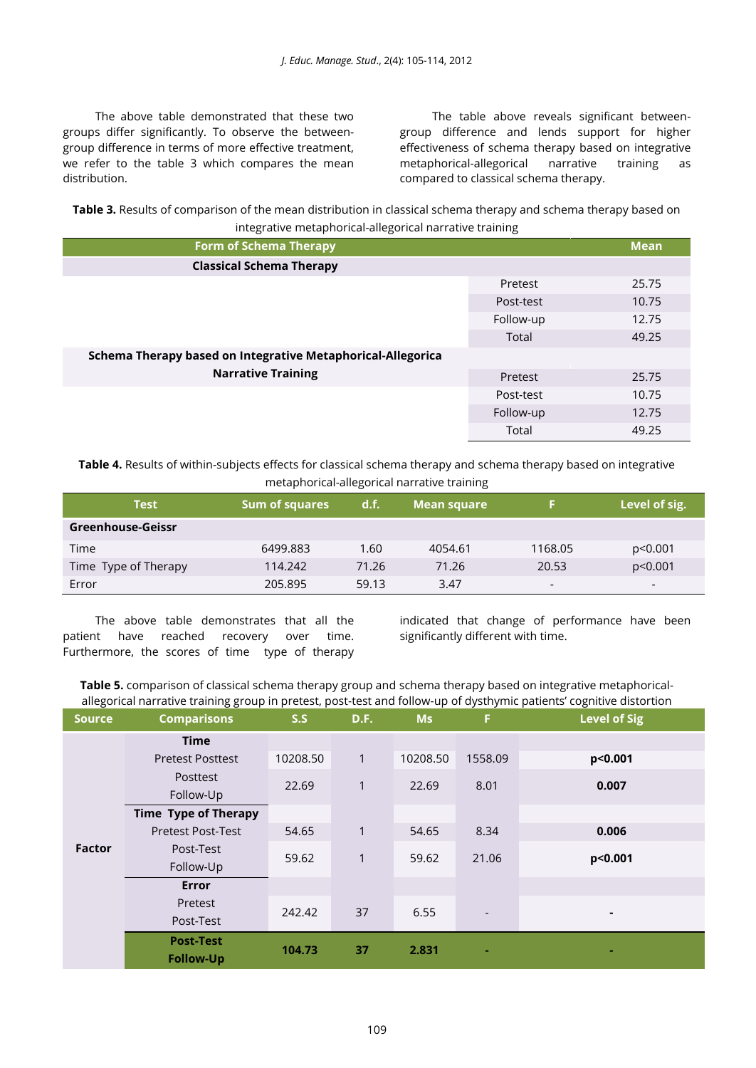The above table demonstrated that these two groups differ significantly. To observe the betweengroup difference in terms of more effective treatment, we refer to the table 3 which compares the mean distribution.

The table above reveals significant betweengroup difference and lends support for higher effectiveness of schema therapy based on integrative metaphorical-allegorical narrative training as compared to classical schema therapy.

**Table 3.** Results of comparison of the mean distribution in classical schema therapy and schema therapy based on integrative metaphorical-allegorical narrative training

| <b>Form of Schema Therapy</b>                               |           | <b>Mean</b> |  |  |  |
|-------------------------------------------------------------|-----------|-------------|--|--|--|
| <b>Classical Schema Therapy</b>                             |           |             |  |  |  |
|                                                             | Pretest   | 25.75       |  |  |  |
|                                                             | Post-test | 10.75       |  |  |  |
|                                                             | Follow-up | 12.75       |  |  |  |
|                                                             | Total     | 49.25       |  |  |  |
| Schema Therapy based on Integrative Metaphorical-Allegorica |           |             |  |  |  |
| <b>Narrative Training</b>                                   | Pretest   | 25.75       |  |  |  |
|                                                             | Post-test | 10.75       |  |  |  |
|                                                             | Follow-up | 12.75       |  |  |  |
|                                                             | Total     | 49.25       |  |  |  |

**Table 4.** Results of within-subjects effects for classical schema therapy and schema therapy based on integrative metaphorical-allegorical narrative training

| <b>Test</b>          | <b>Sum of squares</b> | d.f.  | Mean square |                          | Level of sig.            |
|----------------------|-----------------------|-------|-------------|--------------------------|--------------------------|
| Greenhouse-Geissr    |                       |       |             |                          |                          |
| Time                 | 6499.883              | 1.60  | 4054.61     | 1168.05                  | p<0.001                  |
| Time Type of Therapy | 114.242               | 71.26 | 71.26       | 20.53                    | p<0.001                  |
| Error                | 205.895               | 59.13 | 3.47        | $\overline{\phantom{0}}$ | $\overline{\phantom{a}}$ |

The above table demonstrates that all the patient have reached recovery over time. Furthermore, the scores of time type of therapy

indicated that change of performance have been significantly different with time.

**Table 5.** comparison of classical schema therapy group and schema therapy based on integrative metaphoricalallegorical narrative training group in pretest, post-test and follow-up of dysthymic patients' cognitive distortion

|               | uu ri                                |          |              |           |                          | . 0                 |
|---------------|--------------------------------------|----------|--------------|-----------|--------------------------|---------------------|
| <b>Source</b> | <b>Comparisons</b>                   | S.S      | D.F.         | <b>Ms</b> | F.                       | <b>Level of Sig</b> |
| Factor        | <b>Time</b>                          |          |              |           |                          |                     |
|               | <b>Pretest Posttest</b>              | 10208.50 | $\mathbf{1}$ | 10208.50  | 1558.09                  | p<0.001             |
|               | Posttest<br>Follow-Up                | 22.69    | 1            | 22.69     | 8.01                     | 0.007               |
|               | <b>Time Type of Therapy</b>          |          |              |           |                          |                     |
|               | <b>Pretest Post-Test</b>             | 54.65    | $\mathbf{1}$ | 54.65     | 8.34                     | 0.006               |
|               | Post-Test<br>Follow-Up               | 59.62    | $\mathbf{1}$ | 59.62     | 21.06                    | p<0.001             |
|               | <b>Error</b>                         |          |              |           |                          |                     |
|               | Pretest<br>Post-Test                 | 242.42   | 37           | 6.55      | $\overline{\phantom{a}}$ | ٠                   |
|               | <b>Post-Test</b><br><b>Follow-Up</b> | 104.73   | 37           | 2.831     |                          |                     |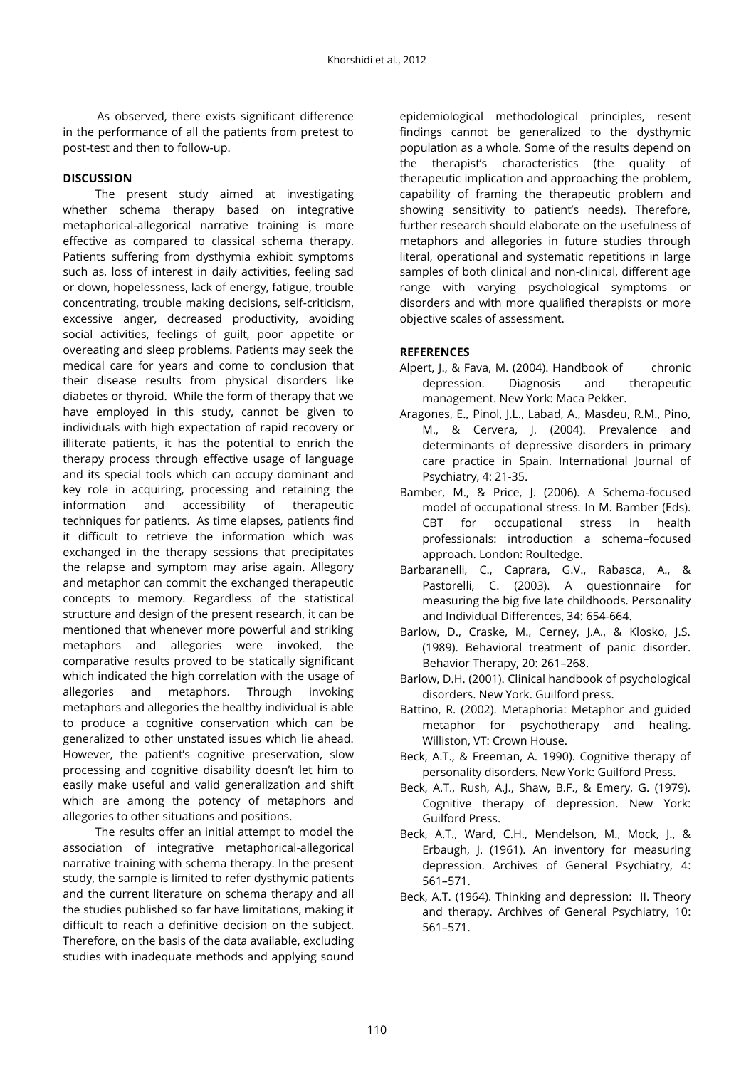As observed, there exists significant difference in the performance of all the patients from pretest to post-test and then to follow-up.

## **DISCUSSION**

The present study aimed at investigating whether schema therapy based on integrative metaphorical-allegorical narrative training is more effective as compared to classical schema therapy. Patients suffering from dysthymia exhibit symptoms such as, loss of interest in daily activities, feeling sad or down, hopelessness, lack of energy, fatigue, trouble concentrating, trouble making decisions, self-criticism, excessive anger, decreased productivity, avoiding social activities, feelings of guilt, poor appetite or overeating and sleep problems. Patients may seek the medical care for years and come to conclusion that their disease results from physical disorders like diabetes or thyroid. While the form of therapy that we have employed in this study, cannot be given to individuals with high expectation of rapid recovery or illiterate patients, it has the potential to enrich the therapy process through effective usage of language and its special tools which can occupy dominant and key role in acquiring, processing and retaining the information and accessibility of therapeutic techniques for patients. As time elapses, patients find it difficult to retrieve the information which was exchanged in the therapy sessions that precipitates the relapse and symptom may arise again. Allegory and metaphor can commit the exchanged therapeutic concepts to memory. Regardless of the statistical structure and design of the present research, it can be mentioned that whenever more powerful and striking metaphors and allegories were invoked, the comparative results proved to be statically significant which indicated the high correlation with the usage of allegories and metaphors. Through invoking metaphors and allegories the healthy individual is able to produce a cognitive conservation which can be generalized to other unstated issues which lie ahead. However, the patient's cognitive preservation, slow processing and cognitive disability doesn't let him to easily make useful and valid generalization and shift which are among the potency of metaphors and allegories to other situations and positions.

The results offer an initial attempt to model the association of integrative metaphorical-allegorical narrative training with schema therapy. In the present study, the sample is limited to refer dysthymic patients and the current literature on schema therapy and all the studies published so far have limitations, making it difficult to reach a definitive decision on the subject. Therefore, on the basis of the data available, excluding studies with inadequate methods and applying sound

epidemiological methodological principles, resent findings cannot be generalized to the dysthymic population as a whole. Some of the results depend on the therapist's characteristics (the quality of therapeutic implication and approaching the problem, capability of framing the therapeutic problem and showing sensitivity to patient's needs). Therefore, further research should elaborate on the usefulness of metaphors and allegories in future studies through literal, operational and systematic repetitions in large samples of both clinical and non-clinical, different age range with varying psychological symptoms or disorders and with more qualified therapists or more objective scales of assessment.

### **REFERENCES**

- Alpert, J., & Fava, M. (2004). Handbook of chronic depression. Diagnosis and therapeutic management. New York: Maca Pekker.
- Aragones, E., Pinol, J.L., Labad, A., Masdeu, R.M., Pino, M., & Cervera, J. (2004). Prevalence and determinants of depressive disorders in primary care practice in Spain. International Journal of Psychiatry, 4: 21-35.
- Bamber, M., & Price, J. (2006). A Schema-focused model of occupational stress. In M. Bamber (Eds). CBT for occupational stress in health professionals: introduction a schema–focused approach. London: Roultedge.
- Barbaranelli, C., Caprara, G.V., Rabasca, A., & Pastorelli, C. (2003). A questionnaire for measuring the big five late childhoods. Personality and Individual Differences, 34: 654-664.
- Barlow, D., Craske, M., Cerney, J.A., & Klosko, J.S. (1989). Behavioral treatment of panic disorder. Behavior Therapy, 20: 261–268.
- Barlow, D.H. (2001). Clinical handbook of psychological disorders. New York. Guilford press.
- Battino, R. (2002). Metaphoria: Metaphor and guided metaphor for psychotherapy and healing. Williston, VT: Crown House.
- Beck, A.T., & Freeman, A. 1990). Cognitive therapy of personality disorders. New York: Guilford Press.
- Beck, A.T., Rush, A.J., Shaw, B.F., & Emery, G. (1979). Cognitive therapy of depression. New York: Guilford Press.
- Beck, A.T., Ward, C.H., Mendelson, M., Mock, J., & Erbaugh, J. (1961). An inventory for measuring depression. Archives of General Psychiatry, 4: 561–571.
- Beck, A.T. (1964). Thinking and depression: II. Theory and therapy. Archives of General Psychiatry, 10: 561–571.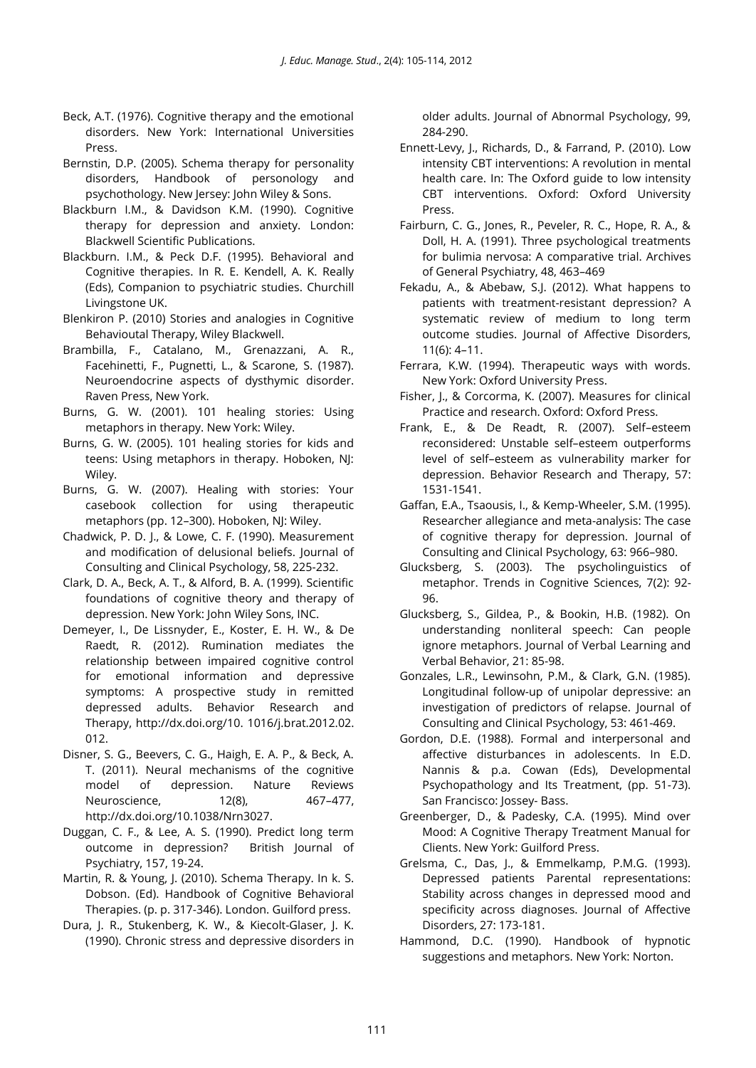- Beck, A.T. (1976). Cognitive therapy and the emotional disorders. New York: International Universities Press.
- Bernstin, D.P. (2005). Schema therapy for personality disorders, Handbook of personology and psychothology. New Jersey: John Wiley & Sons.
- Blackburn I.M., & Davidson K.M. (1990). Cognitive therapy for depression and anxiety. London: Blackwell Scientific Publications.
- Blackburn. I.M., & Peck D.F. (1995). Behavioral and Cognitive therapies. In R. E. Kendell, A. K. Really (Eds), Companion to psychiatric studies. Churchill Livingstone UK.
- Blenkiron P. (2010) Stories and analogies in Cognitive Behavioutal Therapy, Wiley Blackwell.
- Brambilla, F., Catalano, M., Grenazzani, A. R., Facehinetti, F., Pugnetti, L., & Scarone, S. (1987). Neuroendocrine aspects of dysthymic disorder. Raven Press, New York.
- Burns, G. W. (2001). 101 healing stories: Using metaphors in therapy. New York: Wiley.
- Burns, G. W. (2005). 101 healing stories for kids and teens: Using metaphors in therapy. Hoboken, NJ: Wiley.
- Burns, G. W. (2007). Healing with stories: Your casebook collection for using therapeutic metaphors (pp. 12–300). Hoboken, NJ: Wiley.
- Chadwick, P. D. J., & Lowe, C. F. (1990). Measurement and modification of delusional beliefs. Journal of Consulting and Clinical Psychology, 58, 225-232.
- Clark, D. A., Beck, A. T., & Alford, B. A. (1999). Scientific foundations of cognitive theory and therapy of depression. New York: John Wiley Sons, INC.
- Demeyer, I., De Lissnyder, E., Koster, E. H. W., & De Raedt, R. (2012). Rumination mediates the relationship between impaired cognitive control for emotional information and depressive symptoms: A prospective study in remitted depressed adults. Behavior Research and Therapy, http://dx.doi.org/10. 1016/j.brat.2012.02. 012.
- Disner, S. G., Beevers, C. G., Haigh, E. A. P., & Beck, A. T. (2011). Neural mechanisms of the cognitive model of depression. Nature Reviews Neuroscience, 12(8), 467-477, http://dx.doi.org/10.1038/Nrn3027.
- Duggan, C. F., & Lee, A. S. (1990). Predict long term outcome in depression? British Journal of Psychiatry, 157, 19-24.
- Martin, R. & Young, J. (2010). Schema Therapy. In k. S. Dobson. (Ed). Handbook of Cognitive Behavioral Therapies. (p. p. 317-346). London. Guilford press.
- Dura, J. R., Stukenberg, K. W., & Kiecolt-Glaser, J. K. (1990). Chronic stress and depressive disorders in

older adults. Journal of Abnormal Psychology, 99, 284-290.

- Ennett-Levy, J., Richards, D., & Farrand, P. (2010). Low intensity CBT interventions: A revolution in mental health care. In: The Oxford guide to low intensity CBT interventions. Oxford: Oxford University Press.
- Fairburn, C. G., Jones, R., Peveler, R. C., Hope, R. A., & Doll, H. A. (1991). Three psychological treatments for bulimia nervosa: A comparative trial. Archives of General Psychiatry, 48, 463–469
- Fekadu, A., & Abebaw, S.J. (2012). What happens to patients with treatment-resistant depression? A systematic review of medium to long term outcome studies. Journal of Affective Disorders, 11(6): 4–11.
- Ferrara, K.W. (1994). Therapeutic ways with words. New York: Oxford University Press.
- Fisher, J., & Corcorma, K. (2007). Measures for clinical Practice and research. Oxford: Oxford Press.
- Frank, E., & De Readt, R. (2007). Self–esteem reconsidered: Unstable self–esteem outperforms level of self–esteem as vulnerability marker for depression. Behavior Research and Therapy, 57: 1531-1541.
- Gaffan, E.A., Tsaousis, I., & Kemp-Wheeler, S.M. (1995). Researcher allegiance and meta-analysis: The case of cognitive therapy for depression. Journal of Consulting and Clinical Psychology, 63: 966–980.
- Glucksberg, S. (2003). The psycholinguistics of metaphor. Trends in Cognitive Sciences, 7(2): 92- 96.
- Glucksberg, S., Gildea, P., & Bookin, H.B. (1982). On understanding nonliteral speech: Can people ignore metaphors. Journal of Verbal Learning and Verbal Behavior, 21: 85-98.
- Gonzales, L.R., Lewinsohn, P.M., & Clark, G.N. (1985). Longitudinal follow-up of unipolar depressive: an investigation of predictors of relapse. Journal of Consulting and Clinical Psychology, 53: 461-469.
- Gordon, D.E. (1988). Formal and interpersonal and affective disturbances in adolescents. In E.D. Nannis & p.a. Cowan (Eds), Developmental Psychopathology and Its Treatment, (pp. 51-73). San Francisco: Jossey- Bass.
- Greenberger, D., & Padesky, C.A. (1995). Mind over Mood: A Cognitive Therapy Treatment Manual for Clients. New York: Guilford Press.
- Grelsma, C., Das, J., & Emmelkamp, P.M.G. (1993). Depressed patients Parental representations: Stability across changes in depressed mood and specificity across diagnoses. Journal of Affective Disorders, 27: 173-181.
- Hammond, D.C. (1990). Handbook of hypnotic suggestions and metaphors. New York: Norton.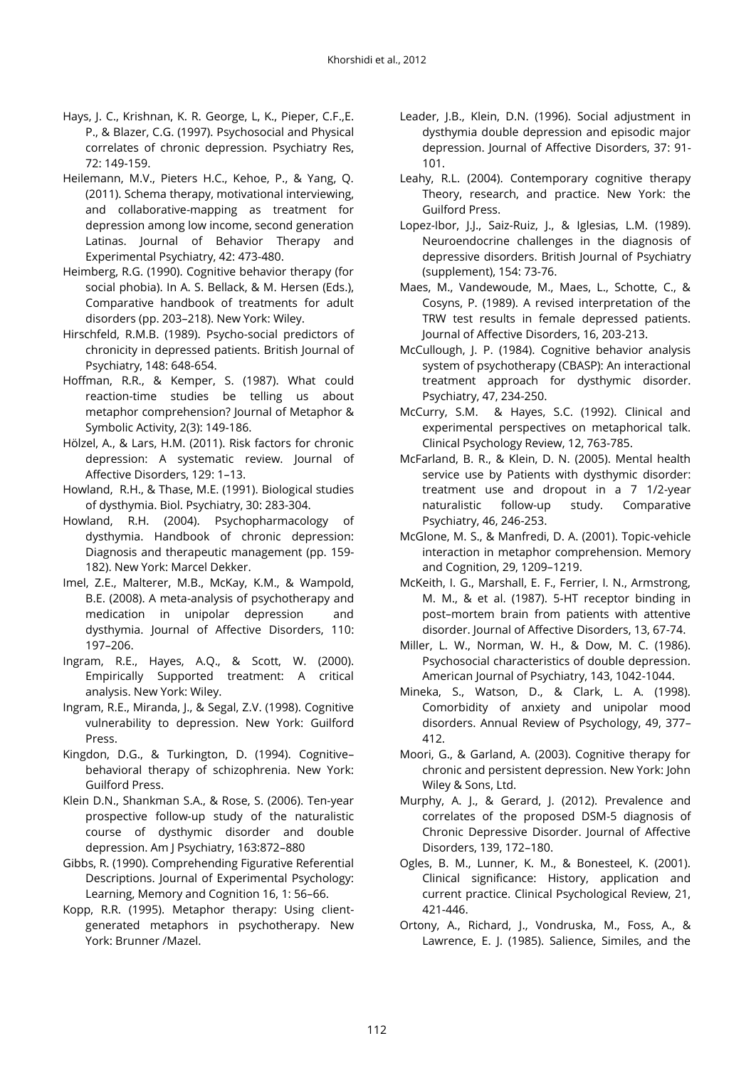- Hays, J. C., Krishnan, K. R. George, L, K., Pieper, C.F.,E. P., & Blazer, C.G. (1997). Psychosocial and Physical correlates of chronic depression. Psychiatry Res, 72: 149-159.
- Heilemann, M.V., Pieters H.C., Kehoe, P., & Yang, Q. (2011). Schema therapy, motivational interviewing, and collaborative-mapping as treatment for depression among low income, second generation Latinas. Journal of Behavior Therapy and Experimental Psychiatry, 42: 473-480.
- Heimberg, R.G. (1990). Cognitive behavior therapy (for social phobia). In A. S. Bellack, & M. Hersen (Eds.), Comparative handbook of treatments for adult disorders (pp. 203–218). New York: Wiley.
- Hirschfeld, R.M.B. (1989). Psycho-social predictors of chronicity in depressed patients. British Journal of Psychiatry, 148: 648-654.
- Hoffman, R.R., & Kemper, S. (1987). What could reaction-time studies be telling us about metaphor comprehension? Journal of Metaphor & Symbolic Activity, 2(3): 149-186.
- Hölzel, A., & Lars, H.M. (2011). Risk factors for chronic depression: A systematic review. Journal of Affective Disorders, 129: 1–13.
- Howland, R.H., & Thase, M.E. (1991). Biological studies of dysthymia. Biol. Psychiatry, 30: 283-304.
- Howland, R.H. (2004). Psychopharmacology of dysthymia. Handbook of chronic depression: Diagnosis and therapeutic management (pp. 159- 182). New York: Marcel Dekker.
- Imel, Z.E., Malterer, M.B., McKay, K.M., & Wampold, B.E. (2008). A meta-analysis of psychotherapy and medication in unipolar depression and dysthymia. Journal of Affective Disorders, 110: 197–206.
- Ingram, R.E., Hayes, A.Q., & Scott, W. (2000). Empirically Supported treatment: A critical analysis. New York: Wiley.
- Ingram, R.E., Miranda, J., & Segal, Z.V. (1998). Cognitive vulnerability to depression. New York: Guilford Press.
- Kingdon, D.G., & Turkington, D. (1994). Cognitive– behavioral therapy of schizophrenia. New York: Guilford Press.
- Klein D.N., Shankman S.A., & Rose, S. (2006). Ten-year prospective follow-up study of the naturalistic course of dysthymic disorder and double depression. Am J Psychiatry, 163:872–880
- Gibbs, R. (1990). Comprehending Figurative Referential Descriptions. Journal of Experimental Psychology: Learning, Memory and Cognition 16, 1: 56–66.
- Kopp, R.R. (1995). Metaphor therapy: Using clientgenerated metaphors in psychotherapy. New York: Brunner /Mazel.
- Leader, J.B., Klein, D.N. (1996). Social adjustment in dysthymia double depression and episodic major depression. Journal of Affective Disorders, 37: 91- 101.
- Leahy, R.L. (2004). Contemporary cognitive therapy Theory, research, and practice. New York: the Guilford Press.
- Lopez-Ibor, J.J., Saiz-Ruiz, J., & Iglesias, L.M. (1989). Neuroendocrine challenges in the diagnosis of depressive disorders. British Journal of Psychiatry (supplement), 154: 73-76.
- Maes, M., Vandewoude, M., Maes, L., Schotte, C., & Cosyns, P. (1989). A revised interpretation of the TRW test results in female depressed patients. Journal of Affective Disorders, 16, 203-213.
- McCullough, J. P. (1984). Cognitive behavior analysis system of psychotherapy (CBASP): An interactional treatment approach for dysthymic disorder. Psychiatry, 47, 234-250.
- McCurry, S.M. & Hayes, S.C. (1992). Clinical and experimental perspectives on metaphorical talk. Clinical Psychology Review, 12, 763-785.
- McFarland, B. R., & Klein, D. N. (2005). Mental health service use by Patients with dysthymic disorder: treatment use and dropout in a 7 1/2-year naturalistic follow-up study. Comparative Psychiatry, 46, 246-253.
- McGlone, M. S., & Manfredi, D. A. (2001). Topic-vehicle interaction in metaphor comprehension. Memory and Cognition, 29, 1209–1219.
- McKeith, I. G., Marshall, E. F., Ferrier, I. N., Armstrong, M. M., & et al. (1987). 5-HT receptor binding in post–mortem brain from patients with attentive disorder. Journal of Affective Disorders, 13, 67-74.
- Miller, L. W., Norman, W. H., & Dow, M. C. (1986). Psychosocial characteristics of double depression. American Journal of Psychiatry, 143, 1042-1044.
- Mineka, S., Watson, D., & Clark, L. A. (1998). Comorbidity of anxiety and unipolar mood disorders. Annual Review of Psychology, 49, 377– 412.
- Moori, G., & Garland, A. (2003). Cognitive therapy for chronic and persistent depression. New York: John Wiley & Sons, Ltd.
- Murphy, A. J., & Gerard, J. (2012). Prevalence and correlates of the proposed DSM-5 diagnosis of Chronic Depressive Disorder. Journal of Affective Disorders, 139, 172–180.
- Ogles, B. M., Lunner, K. M., & Bonesteel, K. (2001). Clinical significance: History, application and current practice. Clinical Psychological Review, 21, 421-446.
- Ortony, A., Richard, J., Vondruska, M., Foss, A., & Lawrence, E. J. (1985). Salience, Similes, and the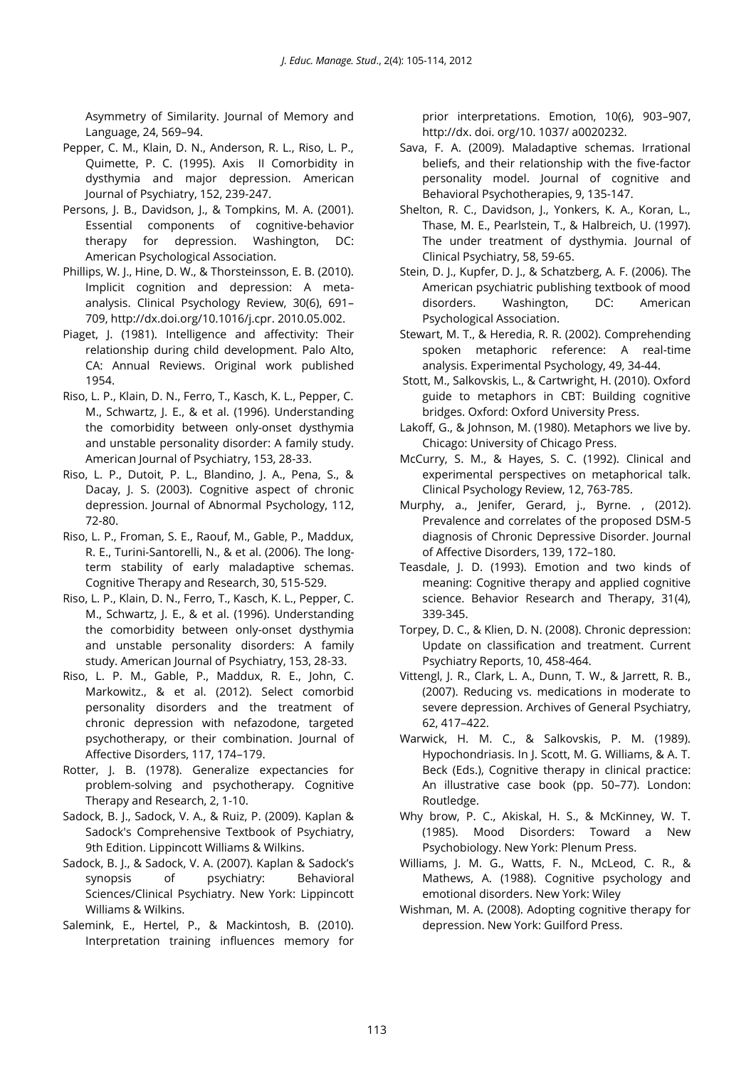Asymmetry of Similarity. Journal of Memory and Language, 24, 569–94.

- Pepper, C. M., Klain, D. N., Anderson, R. L., Riso, L. P., Quimette, P. C. (1995). Axis II Comorbidity in dysthymia and major depression. American Journal of Psychiatry, 152, 239-247.
- Persons, J. B., Davidson, J., & Tompkins, M. A. (2001). Essential components of cognitive-behavior therapy for depression. Washington, DC: American Psychological Association.
- Phillips, W. J., Hine, D. W., & Thorsteinsson, E. B. (2010). Implicit cognition and depression: A metaanalysis. Clinical Psychology Review, 30(6), 691– 709, http://dx.doi.org/10.1016/j.cpr. 2010.05.002.
- Piaget, J. (1981). Intelligence and affectivity: Their relationship during child development. Palo Alto, CA: Annual Reviews. Original work published 1954.
- Riso, L. P., Klain, D. N., Ferro, T., Kasch, K. L., Pepper, C. M., Schwartz, J. E., & et al. (1996). Understanding the comorbidity between only-onset dysthymia and unstable personality disorder: A family study. American Journal of Psychiatry, 153, 28-33.
- Riso, L. P., Dutoit, P. L., Blandino, J. A., Pena, S., & Dacay, J. S. (2003). Cognitive aspect of chronic depression. Journal of Abnormal Psychology, 112, 72-80.
- Riso, L. P., Froman, S. E., Raouf, M., Gable, P., Maddux, R. E., Turini-Santorelli, N., & et al. (2006). The longterm stability of early maladaptive schemas. Cognitive Therapy and Research, 30, 515-529.
- Riso, L. P., Klain, D. N., Ferro, T., Kasch, K. L., Pepper, C. M., Schwartz, J. E., & et al. (1996). Understanding the comorbidity between only-onset dysthymia and unstable personality disorders: A family study. American Journal of Psychiatry, 153, 28-33.
- Riso, L. P. M., Gable, P., Maddux, R. E., John, C. Markowitz., & et al. (2012). Select comorbid personality disorders and the treatment of chronic depression with nefazodone, targeted psychotherapy, or their combination. Journal of Affective Disorders, 117, 174–179.
- Rotter, J. B. (1978). Generalize expectancies for problem-solving and psychotherapy. Cognitive Therapy and Research, 2, 1-10.
- Sadock, B. J., Sadock, V. A., & Ruiz, P. (2009). Kaplan & Sadock's Comprehensive Textbook of Psychiatry, 9th Edition. Lippincott Williams & Wilkins.
- Sadock, B. J., & Sadock, V. A. (2007). Kaplan & Sadock's synopsis of psychiatry: Behavioral Sciences/Clinical Psychiatry. New York: Lippincott Williams & Wilkins.
- Salemink, E., Hertel, P., & Mackintosh, B. (2010). Interpretation training influences memory for

prior interpretations. Emotion, 10(6), 903–907, http://dx. doi. org/10. 1037/ a0020232.

- Sava, F. A. (2009). Maladaptive schemas. Irrational beliefs, and their relationship with the five-factor personality model. Journal of cognitive and Behavioral Psychotherapies, 9, 135-147.
- Shelton, R. C., Davidson, J., Yonkers, K. A., Koran, L., Thase, M. E., Pearlstein, T., & Halbreich, U. (1997). The under treatment of dysthymia. Journal of Clinical Psychiatry, 58, 59-65.
- Stein, D. J., Kupfer, D. J., & Schatzberg, A. F. (2006). The American psychiatric publishing textbook of mood disorders. Washington, DC: American Psychological Association.
- Stewart, M. T., & Heredia, R. R. (2002). Comprehending spoken metaphoric reference: A real-time analysis. Experimental Psychology, 49, 34-44.
- Stott, M., Salkovskis, L., & Cartwright, H. (2010). Oxford guide to metaphors in CBT: Building cognitive bridges. Oxford: Oxford University Press.
- Lakoff, G., & Johnson, M. (1980). Metaphors we live by. Chicago: University of Chicago Press.
- McCurry, S. M., & Hayes, S. C. (1992). Clinical and experimental perspectives on metaphorical talk. Clinical Psychology Review, 12, 763-785.
- Murphy, a., Jenifer, Gerard, j., Byrne. , (2012). Prevalence and correlates of the proposed DSM-5 diagnosis of Chronic Depressive Disorder. Journal of Affective Disorders, 139, 172–180.
- Teasdale, J. D. (1993). Emotion and two kinds of meaning: Cognitive therapy and applied cognitive science. Behavior Research and Therapy, 31(4), 339-345.
- Torpey, D. C., & Klien, D. N. (2008). Chronic depression: Update on classification and treatment. Current Psychiatry Reports, 10, 458-464.
- Vittengl, J. R., Clark, L. A., Dunn, T. W., & Jarrett, R. B., (2007). Reducing vs. medications in moderate to severe depression. Archives of General Psychiatry, 62, 417–422.
- Warwick, H. M. C., & Salkovskis, P. M. (1989). Hypochondriasis. In J. Scott, M. G. Williams, & A. T. Beck (Eds.), Cognitive therapy in clinical practice: An illustrative case book (pp. 50–77). London: Routledge.
- Why brow, P. C., Akiskal, H. S., & McKinney, W. T. (1985). Mood Disorders: Toward a New Psychobiology. New York: Plenum Press.
- Williams, J. M. G., Watts, F. N., McLeod, C. R., & Mathews, A. (1988). Cognitive psychology and emotional disorders. New York: Wiley
- Wishman, M. A. (2008). Adopting cognitive therapy for depression. New York: Guilford Press.